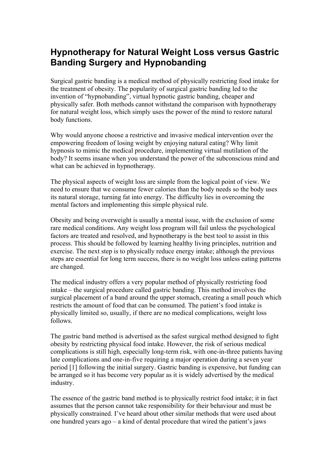## **Hypnotherapy for Natural Weight Loss versus Gastric Banding Surgery and Hypnobanding**

Surgical gastric banding is a medical method of physically restricting food intake for the treatment of obesity. The popularity of surgical gastric banding led to the invention of "hypnobanding", virtual hypnotic gastric banding, cheaper and physically safer. Both methods cannot withstand the comparison with hypnotherapy for natural weight loss, which simply uses the power of the mind to restore natural body functions.

Why would anyone choose a restrictive and invasive medical intervention over the empowering freedom of losing weight by enjoying natural eating? Why limit hypnosis to mimic the medical procedure, implementing virtual mutilation of the body? It seems insane when you understand the power of the subconscious mind and what can be achieved in hypnotherapy.

The physical aspects of weight loss are simple from the logical point of view. We need to ensure that we consume fewer calories than the body needs so the body uses its natural storage, turning fat into energy. The difficulty lies in overcoming the mental factors and implementing this simple physical rule.

Obesity and being overweight is usually a mental issue, with the exclusion of some rare medical conditions. Any weight loss program will fail unless the psychological factors are treated and resolved, and hypnotherapy is the best tool to assist in this process. This should be followed by learning healthy living principles, nutrition and exercise. The next step is to physically reduce energy intake; although the previous steps are essential for long term success, there is no weight loss unless eating patterns are changed.

The medical industry offers a very popular method of physically restricting food intake – the surgical procedure called gastric banding. This method involves the surgical placement of a band around the upper stomach, creating a small pouch which restricts the amount of food that can be consumed. The patient's food intake is physically limited so, usually, if there are no medical complications, weight loss follows.

The gastric band method is advertised as the safest surgical method designed to fight obesity by restricting physical food intake. However, the risk of serious medical complications is still high, especially long-term risk, with one-in-three patients having late complications and one-in-five requiring a major operation during a seven year period [1] following the initial surgery. Gastric banding is expensive, but funding can be arranged so it has become very popular as it is widely advertised by the medical industry.

The essence of the gastric band method is to physically restrict food intake; it in fact assumes that the person cannot take responsibility for their behaviour and must be physically constrained. I've heard about other similar methods that were used about one hundred years ago – a kind of dental procedure that wired the patient's jaws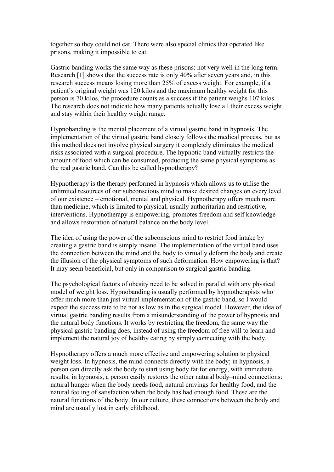together so they could not eat. There were also special clinics that operated like prisons, making it impossible to eat.

Gastric banding works the same way as these prisons: not very well in the long term. Research [1] shows that the success rate is only 40% after seven years and, in this research success means losing more than 25% of excess weight. For example, if a patient's original weight was 120 kilos and the maximum healthy weight for this person is 70 kilos, the procedure counts as a success if the patient weighs 107 kilos. The research does not indicate how many patients actually lose all their excess weight and stay within their healthy weight range.

Hypnobanding is the mental placement of a virtual gastric band in hypnosis. The implementation of the virtual gastric band closely follows the medical process, but as this method does not involve physical surgery it completely eliminates the medical risks associated with a surgical procedure. The hypnotic band virtually restricts the amount of food which can be consumed, producing the same physical symptoms as the real gastric band. Can this be called hypnotherapy?

Hypnotherapy is the therapy performed in hypnosis which allows us to utilise the unlimited resources of our subconscious mind to make desired changes on every level of our existence – emotional, mental and physical. Hypnotherapy offers much more than medicine, which is limited to physical, usually authoritarian and restrictive, interventions. Hypnotherapy is empowering, promotes freedom and self knowledge and allows restoration of natural balance on the body level.

The idea of using the power of the subconscious mind to restrict food intake by creating a gastric band is simply insane. The implementation of the virtual band uses the connection between the mind and the body to virtually deform the body and create the illusion of the physical symptoms of such deformation. How empowering is that? It may seem beneficial, but only in comparison to surgical gastric banding.

The psychological factors of obesity need to be solved in parallel with any physical model of weight loss. Hypnobanding is usually performed by hypnotherapists who offer much more than just virtual implementation of the gastric band, so I would expect the success rate to be not as low as in the surgical model. However, the idea of virtual gastric banding results from a misunderstanding of the power of hypnosis and the natural body functions. It works by restricting the freedom, the same way the physical gastric banding does, instead of using the freedom of free will to learn and implement the natural joy of healthy eating by simply connecting with the body.

Hypnotherapy offers a much more effective and empowering solution to physical weight loss. In hypnosis, the mind connects directly with the body; in hypnosis, a person can directly ask the body to start using body fat for energy, with immediate results; in hypnosis, a person easily restores the other natural body–mind connections: natural hunger when the body needs food, natural cravings for healthy food, and the natural feeling of satisfaction when the body has had enough food. These are the natural functions of the body. In our culture, these connections between the body and mind are usually lost in early childhood.